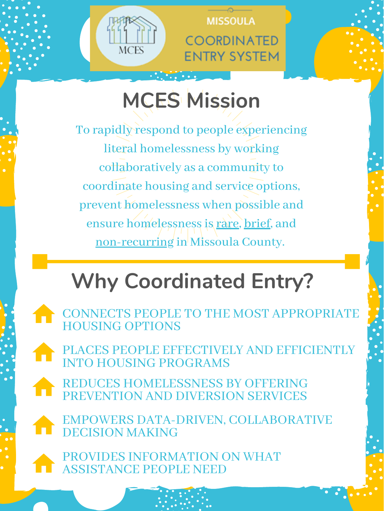

MISSOULA **COORDINATED ENTRY SYSTEM** 

To rapidly respond to people experiencing literal homelessness by working collaboratively as a community to coordinate housing and service options, prevent homelessness when possible and ensure homelessness is rare, brief, and non-recurring in Missoula County.

# **MCES Mission**

# **Why Coordinated Entry?**

CONNECTS PEOPLE TO THE MOST APPROPRIATE HOUSING OPTIONS

REDUCES HOMELESSNESS BY OFFERING PREVENTION AND DIVERSION SERVICES

PLACES PEOPLE EFFECTIVELY AND EFFICIENTLY INTO HOUSING PROGRAMS

PROVIDES INFORMATION ON WHAT ASSISTANCE PEOPLE NEED

EMPOWERS DATA-DRIVEN, COLLABORATIVE DECISION MAKING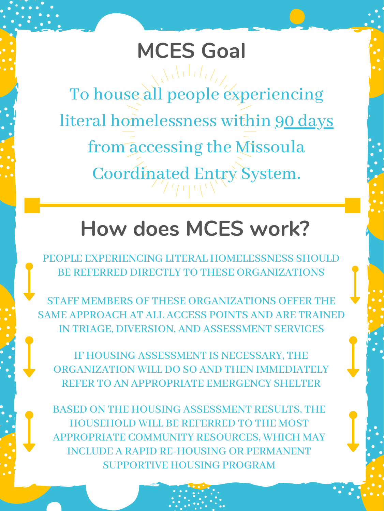## **How does MCES work?**

PEOPLE EXPERIENCING LITERAL HOMELESSNESS SHOULD

BE REFERRED DIRECTLY TO THESE ORGANIZATIONS

IF HOUSING ASSESSMENT IS NECESSARY, THE ORGANIZATION WILL DO SO AND THEN IMMEDIATELY REFER TO AN APPROPRIATE EMERGENCY SHELTER

# To house all people experiencing literal homelessness within 90 days from accessing the Missoula Coordinated Entry System. **MCES Goal**

STAFF MEMBERS OF THESE ORGANIZATIONS OFFER THE SAME APPROACH AT ALL ACCESS POINTS AND ARE TRAINED IN TRIAGE, DIVERSION, AND ASSESSMENT SERVICES

BASED ON THE HOUSING ASSESSMENT RESULTS, THE HOUSEHOLD WILL BE REFERRED TO THE MOST APPROPRIATE COMMUNITY RESOURCES, WHICH MAY INCLUDE A RAPID RE-HOUSING OR PERMANENT SUPPORTIVE HOUSING PROGRAM